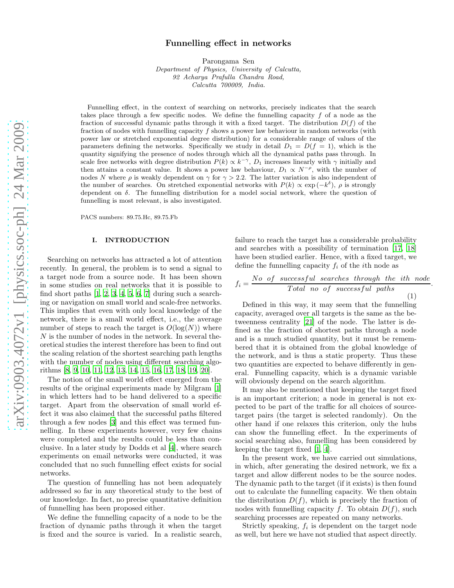# Funnelling effect in networks

Parongama Sen

Department of Physics, University of Calcutta, 92 Acharya Prafulla Chandra Road, Calcutta 700009, India.

Funnelling effect, in the context of searching on networks, precisely indicates that the search takes place through a few specific nodes. We define the funnelling capacity f of a node as the fraction of successful dynamic paths through it with a fixed target. The distribution  $D(f)$  of the fraction of nodes with funnelling capacity f shows a power law behaviour in random networks (with power law or stretched exponential degree distribution) for a considerable range of values of the parameters defining the networks. Specifically we study in detail  $D_1 = D(f = 1)$ , which is the quantity signifying the presence of nodes through which all the dynamical paths pass through. In scale free networks with degree distribution  $P(k) \propto k^{-\gamma}$ ,  $D_1$  increases linearly with  $\gamma$  initially and then attains a constant value. It shows a power law behaviour,  $D_1 \propto N^{-\rho}$ , with the number of nodes N where  $\rho$  is weakly dependent on  $\gamma$  for  $\gamma > 2.2$ . The latter variation is also independent of the number of searches. On stretched exponential networks with  $P(k) \propto \exp(-k^{\delta})$ ,  $\rho$  is strongly dependent on  $\delta$ . The funnelling distribution for a model social network, where the question of funnelling is most relevant, is also investigated.

PACS numbers: 89.75.Hc, 89.75.Fb

### I. INTRODUCTION

Searching on networks has attracted a lot of attention recently. In general, the problem is to send a signal to a target node from a source node. It has been shown in some studies on real networks that it is possible to find short paths  $[1, 2, 3, 4, 5, 6, 7]$  $[1, 2, 3, 4, 5, 6, 7]$  $[1, 2, 3, 4, 5, 6, 7]$  $[1, 2, 3, 4, 5, 6, 7]$  $[1, 2, 3, 4, 5, 6, 7]$  $[1, 2, 3, 4, 5, 6, 7]$  $[1, 2, 3, 4, 5, 6, 7]$  $[1, 2, 3, 4, 5, 6, 7]$  $[1, 2, 3, 4, 5, 6, 7]$  during such a searching or navigation on small world and scale-free networks. This implies that even with only local knowledge of the network, there is a small world effect, i.e., the average number of steps to reach the target is  $O(log(N))$  where N is the number of nodes in the network. In several theoretical studies the interest therefore has been to find out the scaling relation of the shortest searching path lengths with the number of nodes using different searching algorithms [\[8](#page-5-7), [9,](#page-5-8) [10,](#page-5-9) [11,](#page-5-10) [12,](#page-5-11) [13,](#page-5-12) [14,](#page-5-13) [15,](#page-5-14) [16,](#page-5-15) [17,](#page-5-16) [18,](#page-5-17) [19,](#page-5-18) [20](#page-5-19)].

The notion of the small world effect emerged from the results of the original experiments made by Milgram [\[1](#page-5-0)] in which letters had to be hand delivered to a specific target. Apart from the observation of small world effect it was also claimed that the successful paths filtered through a few nodes [\[3](#page-5-2)] and this effect was termed funnelling. In these experiments however, very few chains were completed and the results could be less than conclusive. In a later study by Dodds et al [\[4\]](#page-5-3), where search experiments on email networks were conducted, it was concluded that no such funnelling effect exists for social networks.

The question of funnelling has not been adequately addressed so far in any theoretical study to the best of our knowledge. In fact, no precise quantitative definition of funnelling has been proposed either.

We define the funnelling capacity of a node to be the fraction of dynamic paths through it when the target is fixed and the source is varied. In a realistic search,

failure to reach the target has a considerable probability and searches with a possibility of termination [\[17,](#page-5-16) [18](#page-5-17)] have been studied earlier. Hence, with a fixed target, we define the funnelling capacity  $f_i$  of the *i*th node as

$$
f_i = \frac{No \text{ of successful searches through the ith node}}{Total \text{ no of successful paths}}.
$$
\n(1)

Defined in this way, it may seem that the funnelling capacity, averaged over all targets is the same as the betweenness centrality [\[21\]](#page-5-20) of the node. The latter is defined as the fraction of shortest paths through a node and is a much studied quantity, but it must be remembered that it is obtained from the global knowledge of the network, and is thus a static property. Thus these two quantities are expected to behave differently in general. Funnelling capacity, which is a dynamic variable will obviously depend on the search algorithm.

It may also be mentioned that keeping the target fixed is an important criterion; a node in general is not expected to be part of the traffic for all choices of sourcetarget pairs (the target is selected randomly). On the other hand if one relaxes this criterion, only the hubs can show the funnelling effect. In the experiments of social searching also, funnelling has been considered by keeping the target fixed [\[1](#page-5-0), [4](#page-5-3)].

In the present work, we have carried out simulations, in which, after generating the desired network, we fix a target and allow different nodes to be the source nodes. The dynamic path to the target (if it exists) is then found out to calculate the funnelling capacity. We then obtain the distribution  $D(f)$ , which is precisely the fraction of nodes with funnelling capacity f. To obtain  $D(f)$ , such searching processes are repeated on many networks.

Strictly speaking,  $f_i$  is dependent on the target node as well, but here we have not studied that aspect directly.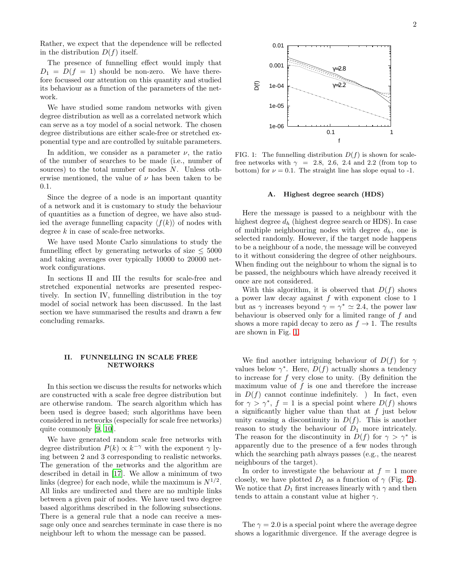Rather, we expect that the dependence will be reflected in the distribution  $D(f)$  itself.

The presence of funnelling effect would imply that  $D_1 = D(f = 1)$  should be non-zero. We have the refore focussed our attention on this quantity and studied its behaviour as a function of the parameters of the network.

We have studied some random networks with given degree distribution as well as a correlated network which can serve as a toy model of a social network. The chosen degree distributions are either scale-free or stretched exponential type and are controlled by suitable parameters.

In addition, we consider as a parameter  $\nu$ , the ratio of the number of searches to be made (i.e., number of sources) to the total number of nodes N. Unless otherwise mentioned, the value of  $\nu$  has been taken to be 0.1.

Since the degree of a node is an important quantity of a network and it is customary to study the behaviour of quantities as a function of degree, we have also studied the average funnelling capacity  $\langle f(k) \rangle$  of nodes with degree k in case of scale-free networks.

We have used Monte Carlo simulations to study the funnelling effect by generating networks of size  $\leq 5000$ and taking averages over typically 10000 to 20000 network configurations.

In sections II and III the results for scale-free and stretched exponential networks are presented respectively. In section IV, funnelling distribution in the toy model of social network has been discussed. In the last section we have summarised the results and drawn a few concluding remarks.

### II. FUNNELLING IN SCALE FREE **NETWORKS**

In this section we discuss the results for networks which are constructed with a scale free degree distribution but are otherwise random. The search algorithm which has been used is degree based; such algorithms have been considered in networks (especially for scale free networks) quite commonly [\[9,](#page-5-8) [10\]](#page-5-9).

We have generated random scale free networks with degree distribution  $P(k) \propto k^{-\gamma}$  with the exponent  $\gamma$  lying between 2 and 3 corresponding to realistic networks. The generation of the networks and the algorithm are described in detail in [\[17](#page-5-16)]. We allow a minimum of two links (degree) for each node, while the maximum is  $N^{1/2}$ . All links are undirected and there are no multiple links between a given pair of nodes. We have used two degree based algorithms described in the following subsections. There is a general rule that a node can receive a message only once and searches terminate in case there is no neighbour left to whom the message can be passed.



<span id="page-1-0"></span>FIG. 1: The funnelling distribution  $D(f)$  is shown for scalefree networks with  $\gamma = 2.8, 2.6, 2.4$  and 2.2 (from top to bottom) for  $\nu = 0.1$ . The straight line has slope equal to -1.

#### A. Highest degree search (HDS)

Here the message is passed to a neighbour with the highest degree  $d_h$  (highest degree search or HDS). In case of multiple neighbouring nodes with degree  $d_h$ , one is selected randomly. However, if the target node happens to be a neighbour of a node, the message will be conveyed to it without considering the degree of other neighbours. When finding out the neighbour to whom the signal is to be passed, the neighbours which have already received it once are not considered.

With this algorithm, it is observed that  $D(f)$  shows a power law decay against  $f$  with exponent close to 1 but as  $\gamma$  increases beyond  $\gamma = \gamma^* \simeq 2.4$ , the power law behaviour is observed only for a limited range of f and shows a more rapid decay to zero as  $f \to 1$ . The results are shown in Fig. [1.](#page-1-0)

We find another intriguing behaviour of  $D(f)$  for  $\gamma$ values below  $\gamma^*$ . Here,  $\overrightarrow{D}(f)$  actually shows a tendency to increase for  $f$  very close to unity. (By definition the maximum value of  $f$  is one and therefore the increase in  $D(f)$  cannot continue indefinitely. ) In fact, even for  $\gamma > \gamma^*$ ,  $f = 1$  is a special point where  $D(f)$  shows a significantly higher value than that at  $f$  just below unity causing a discontinuity in  $D(f)$ . This is another reason to study the behaviour of  $D_1$  more intricately. The reason for the discontinuity in  $\overline{D}(f)$  for  $\gamma > \gamma^*$  is apparently due to the presence of a few nodes through which the searching path always passes (e.g., the nearest neighbours of the target).

In order to investigate the behaviour at  $f = 1$  more closely, we have plotted  $D_1$  as a function of  $\gamma$  (Fig. [2\)](#page-2-0). We notice that  $D_1$  first increases linearly with  $\gamma$  and then tends to attain a constant value at higher  $\gamma$ .

The  $\gamma = 2.0$  is a special point where the average degree shows a logarithmic divergence. If the average degree is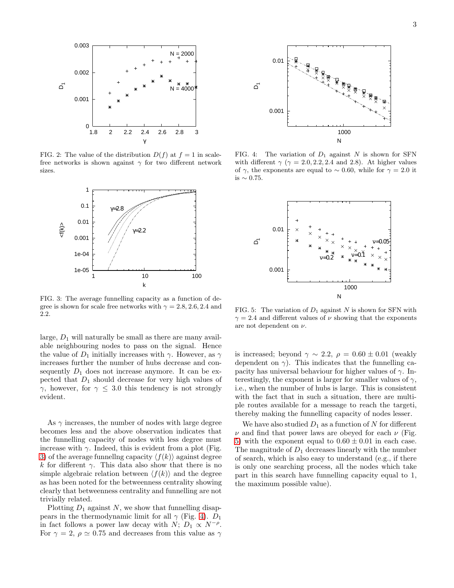

<span id="page-2-0"></span>FIG. 2: The value of the distribution  $D(f)$  at  $f = 1$  in scalefree networks is shown against  $\gamma$  for two different network sizes.



<span id="page-2-1"></span>FIG. 3: The average funnelling capacity as a function of degree is shown for scale free networks with  $\gamma = 2.8, 2.6, 2.4$  and 2.2.

large,  $D_1$  will naturally be small as there are many available neighbouring nodes to pass on the signal. Hence the value of  $D_1$  initially increases with  $\gamma$ . However, as  $\gamma$ increases further the number of hubs decrease and consequently  $D_1$  does not increase anymore. It can be expected that  $D_1$  should decrease for very high values of  $γ$ , however, for  $γ ≤ 3.0$  this tendency is not strongly evident.

As  $\gamma$  increases, the number of nodes with large degree becomes less and the above observation indicates that the funnelling capacity of nodes with less degree must increase with  $\gamma$ . Indeed, this is evident from a plot (Fig. [3\)](#page-2-1) of the average funnelling capacity  $\langle f(k) \rangle$  against degree k for different  $\gamma$ . This data also show that there is no simple algebraic relation between  $\langle f(k) \rangle$  and the degree as has been noted for the betweenness centrality showing clearly that betweenness centrality and funnelling are not trivially related.

Plotting  $D_1$  against N, we show that funnelling disappears in the thermodynamic limit for all  $\gamma$  (Fig. [4\)](#page-2-2).  $D_1$ in fact follows a power law decay with  $N$ ;  $D_1 \propto N^{-\rho}$ . For  $\gamma = 2$ ,  $\rho \simeq 0.75$  and decreases from this value as  $\gamma$ 



<span id="page-2-2"></span>FIG. 4: The variation of  $D_1$  against N is shown for SFN with different  $\gamma$  ( $\gamma = 2.0, 2.2, 2.4$  and 2.8). At higher values of  $\gamma$ , the exponents are equal to ~ 0.60, while for  $\gamma = 2.0$  it is ∼ 0.75.



<span id="page-2-3"></span>FIG. 5: The variation of  $D_1$  against N is shown for SFN with  $\gamma = 2.4$  and different values of  $\nu$  showing that the exponents are not dependent on  $\nu$ .

is increased; beyond  $\gamma \sim 2.2$ ,  $\rho = 0.60 \pm 0.01$  (weakly dependent on  $\gamma$ ). This indicates that the funnelling capacity has universal behaviour for higher values of  $\gamma$ . Interestingly, the exponent is larger for smaller values of  $\gamma$ , i.e., when the number of hubs is large. This is consistent with the fact that in such a situation, there are multiple routes available for a message to reach the targeti, thereby making the funnelling capacity of nodes lesser.

We have also studied  $D_1$  as a function of N for different  $\nu$  and find that power laws are obeyed for each  $\nu$  (Fig. [5\)](#page-2-3) with the exponent equal to  $0.60 \pm 0.01$  in each case. The magnitude of  $D_1$  decreases linearly with the number of search, which is also easy to understand (e.g., if there is only one searching process, all the nodes which take part in this search have funnelling capacity equal to 1, the maximum possible value).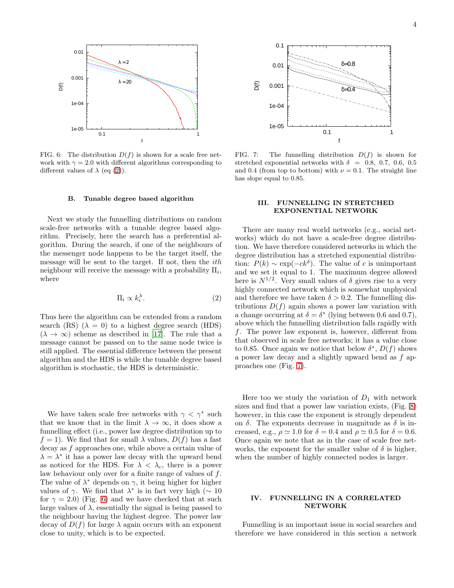

<span id="page-3-1"></span>FIG. 6: The distribution  $D(f)$  is shown for a scale free network with  $\gamma = 2.0$  with different algorithms corresponding to different values of  $\lambda$  (eq [\(2\)](#page-3-0)).

#### B. Tunable degree based algorithm

Next we study the funnelling distributions on random scale-free networks with a tunable degree based algorithm. Precisely, here the search has a preferential algorithm. During the search, if one of the neighbours of the messenger node happens to be the target itself, the message will be sent to the target. If not, then the ith neighbour will receive the message with a probability  $\Pi_i$ , where

<span id="page-3-0"></span>
$$
\Pi_i \propto k_i^{\lambda}.\tag{2}
$$

Thus here the algorithm can be extended from a random search (RS)  $(\lambda = 0)$  to a highest degree search (HDS)  $(\lambda \to \infty)$  scheme as described in [\[17\]](#page-5-16). The rule that a message cannot be passed on to the same node twice is still applied. The essential difference between the present algorithm and the HDS is while the tunable degree based algorithm is stochastic, the HDS is deterministic.

We have taken scale free networks with  $\gamma < \gamma^*$  such that we know that in the limit  $\lambda \to \infty$ , it does show a funnelling effect (i.e., power law degree distribution up to  $f = 1$ ). We find that for small  $\lambda$  values,  $D(f)$  has a fast decay as f approaches one, while above a certain value of  $\lambda = \lambda^*$  it has a power law decay with the upward bend as noticed for the HDS. For  $\lambda < \lambda_c$ , there is a power law behaviour only over for a finite range of values of f. The value of  $\lambda^*$  depends on  $\gamma$ , it being higher for higher values of  $\gamma$ . We find that  $\lambda^*$  is in fact very high ( $\sim 10$ for  $\gamma = 2.0$ ) (Fig. [6\)](#page-3-1) and we have checked that at such large values of  $\lambda$ , essentially the signal is being passed to the neighbour having the highest degree. The power law decay of  $D(f)$  for large  $\lambda$  again occurs with an exponent close to unity, which is to be expected.



<span id="page-3-2"></span>FIG. 7: The funnelling distribution  $D(f)$  is shown for stretched exponential networks with  $\delta = 0.8, 0.7, 0.6, 0.5$ and 0.4 (from top to bottom) with  $\nu = 0.1$ . The straight line has slope equal to 0.85.

# III. FUNNELLING IN STRETCHED EXPONENTIAL NETWORK

There are many real world networks (e.g., social networks) which do not have a scale-free degree distribution. We have therefore considered networks in which the degree distribution has a stretched exponential distribution:  $P(k) \sim \exp(-ck^{\delta})$ . The value of c is unimportant and we set it equal to 1. The maximum degree allowed here is  $N^{1/2}$ . Very small values of  $\delta$  gives rise to a very highly connected network which is somewhat unphysical and therefore we have taken  $\delta > 0.2$ . The funnelling distributions  $D(f)$  again shows a power law variation with a change occurring at  $\delta = \delta^*$  (lying between 0.6 and 0.7), above which the funnelling distribution falls rapidly with f. The power law exponent is, however, different from that observed in scale free networks; it has a value close to 0.85. Once again we notice that below  $\delta^*$ ,  $D(f)$  shows a power law decay and a slightly upward bend as f approaches one (Fig. [7\)](#page-3-2).

Here too we study the variation of  $D_1$  with network sizes and find that a power law variation exists, (Fig. [8\)](#page-4-0) however, in this case the exponent is strongly dependent on  $\delta$ . The exponents decrease in magnitude as  $\delta$  is increased, e.g.,  $\rho \approx 1.0$  for  $\delta = 0.4$  and  $\rho \approx 0.5$  for  $\delta = 0.6$ . Once again we note that as in the case of scale free networks, the exponent for the smaller value of  $\delta$  is higher, when the number of highly connected nodes is larger.

# IV. FUNNELLING IN A CORRELATED NETWORK

Funnelling is an important issue in social searches and therefore we have considered in this section a network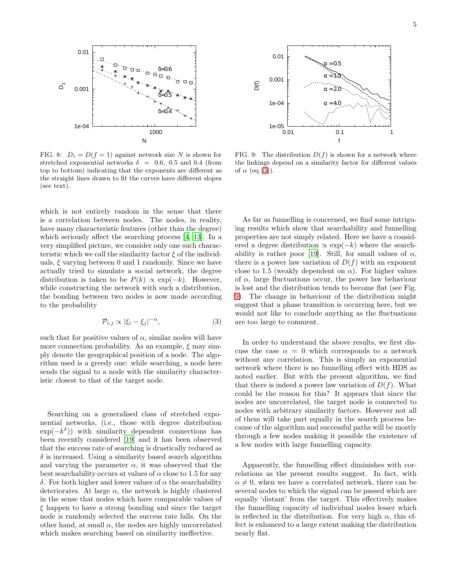

<span id="page-4-0"></span>FIG. 8:  $D_1 = D(f = 1)$  against network size N is shown for stretched exponential networks  $\delta = 0.6, 0.5$  and 0.4 (from top to bottom) indicating that the exponents are different as the straight lines drawn to fit the curves have different slopes (see text).

which is not entirely random in the sense that there is a correlation between nodes. The nodes, in reality, have many characteristic features (other than the degree) which seriously affect the searching process [\[4,](#page-5-3) [13\]](#page-5-12). In a very simplified picture, we consider only one such characteristic which we call the similarity factor  $\xi$  of the individuals,  $\xi$  varying between 0 and 1 randomly. Since we have actually tried to simulate a social network, the degree distribution is taken to be  $P(k) \propto \exp(-k)$ . However, while constructing the network with such a distribution, the bonding between two nodes is now made according to the probability

<span id="page-4-1"></span>
$$
\mathcal{P}_{i,j} \propto |\xi_i - \xi_j|^{-\alpha},\tag{3}
$$

such that for positive values of  $\alpha$ , similar nodes will have more connection probability. As an example,  $\xi$  may simply denote the geographical position of a node. The algorithm used is a greedy one: while searching, a node here sends the signal to a node with the similarity characteristic closest to that of the target node.

Searching on a generalised class of stretched exponential networks, (i.e., those with degree distribution  $\exp(-k^{\delta})$  with similarity dependent connections has been recently considered [\[19\]](#page-5-18) and it has been observed that the success rate of searching is drastically reduced as  $\delta$  is increased. Using a similarity based search algorithm and varying the parameter  $\alpha$ , it was observed that the best searchability occurs at values of  $\alpha$  close to 1.5 for any δ. For both higher and lower values of α the searchability deteriorates. At large  $\alpha$ , the network is highly clustered in the sense that nodes which have comparable values of  $\xi$  happen to have a strong bonding and since the target node is randomly selected the success rate falls. On the other hand, at small  $\alpha$ , the nodes are highly uncorrelated which makes searching based on similarity ineffective.



<span id="page-4-2"></span>FIG. 9: The distribution  $D(f)$  is shown for a network where the linkings depend on a similarity factor for different values of  $\alpha$  (eq [\(3\)](#page-4-1)).

As far as funnelling is concerned, we find some intriguing results which show that searchability and funnelling properties are not simply related. Here we have a considered a degree distribution  $\propto \exp(-k)$  where the search-ability is rather poor [\[19](#page-5-18)]. Still, for small values of  $\alpha$ , there is a power law variation of  $D(f)$  with an exponent close to 1.5 (weakly dependent on  $\alpha$ ). For higher values of  $\alpha$ , large fluctuations occur, the power law behaviour is lost and the distribution tends to become flat (see Fig. [9\)](#page-4-2). The change in behaviour of the distribution might suggest that a phase transition is occurring here, but we would not like to conclude anything as the fluctuations are too large to comment.

In order to understand the above results, we first discuss the case  $\alpha = 0$  which corresponds to a network without any correlation. This is simply an exponential network where there is no funnelling effect with HDS as noted earlier. But with the present algorithm, we find that there is indeed a power law variation of  $D(f)$ . What could be the reason for this? It appears that since the nodes are uncorrelated, the target node is connected to nodes with arbitrary similarity factors. However not all of them will take part equally in the search process because of the algorithm and successful paths will be mostly through a few nodes making it possible the existence of a few nodes with large funnelling capacity.

Apparently, the funnelling effect diminishes with correlations as the present results suggest. In fact, with  $\alpha \neq 0$ , when we have a correlated network, there can be several nodes to which the signal can be passed which are equally 'distant' from the target. This effectively makes the funnelling capacity of individual nodes lesser which is reflected in the distribution. For very high  $\alpha$ , this effect is enhanced to a large extent making the distribution nearly flat.